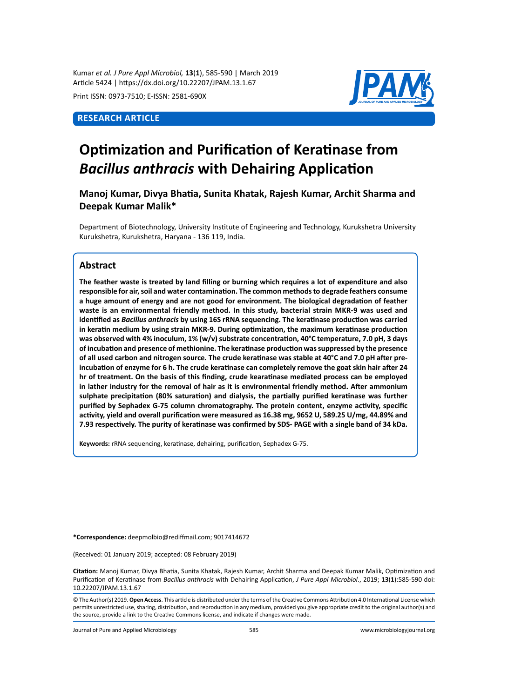Kumar *et al. J Pure Appl Microbiol,* **13**(**1**), 585-590 | March 2019 Article 5424 | https://dx.doi.org/10.22207/JPAM.13.1.67

Print ISSN: 0973-7510; E-ISSN: 2581-690X

# **Research Article**



# **Optimization and Purification of Keratinase from**  *Bacillus anthracis* **with Dehairing Application**

**Manoj Kumar, Divya Bhatia, Sunita Khatak, Rajesh Kumar, Archit Sharma and Deepak Kumar Malik\***

Department of Biotechnology, University Institute of Engineering and Technology, Kurukshetra University Kurukshetra, Kurukshetra, Haryana - 136 119, India.

### **Abstract**

**The feather waste is treated by land filling or burning which requires a lot of expenditure and also responsible for air, soil and water contamination. The common methods to degrade feathers consume a huge amount of energy and are not good for environment. The biological degradation of feather waste is an environmental friendly method. In this study, bacterial strain MKR-9 was used and identified as** *Bacillus anthracis* **by using 16S rRNA sequencing. The keratinase production was carried in keratin medium by using strain MKR-9. During optimization, the maximum keratinase production was observed with 4% inoculum, 1% (w/v) substrate concentration, 40°C temperature, 7.0 pH, 3 days of incubation and presence of methionine. The keratinase production was suppressed by the presence of all used carbon and nitrogen source. The crude keratinase was stable at 40°C and 7.0 pH after preincubation of enzyme for 6 h. The crude keratinase can completely remove the goat skin hair after 24 hr of treatment. On the basis of this finding, crude kearatinase mediated process can be employed in lather industry for the removal of hair as it is environmental friendly method. After ammonium sulphate precipitation (80% saturation) and dialysis, the partially purified keratinase was further purified by Sephadex G-75 column chromatography. The protein content, enzyme activity, specific activity, yield and overall purification were measured as 16.38 mg, 9652 U, 589.25 U/mg, 44.89% and 7.93 respectively. The purity of keratinase was confirmed by SDS- PAGE with a single band of 34 kDa.** 

**Keywords:** rRNA sequencing, keratinase, dehairing, purification, Sephadex G-75.

**\*Correspondence:** deepmolbio@rediffmail.com; 9017414672

(Received: 01 January 2019; accepted: 08 February 2019)

**Citation:** Manoj Kumar, Divya Bhatia, Sunita Khatak, Rajesh Kumar, Archit Sharma and Deepak Kumar Malik, Optimization and Purification of Keratinase from *Bacillus anthracis* with Dehairing Application, *J Pure Appl Microbiol*., 2019; **13**(**1**):585-590 doi: 10.22207/JPAM.13.1.67

© The Author(s) 2019. **Open Access**. This article is distributed under the terms of the Creative Commons Attribution 4.0 International License which permits unrestricted use, sharing, distribution, and reproduction in any medium, provided you give appropriate credit to the original author(s) and the source, provide a link to the Creative Commons license, and indicate if changes were made.

Journal of Pure and Applied Microbiology 585 www.microbiologyjournal.org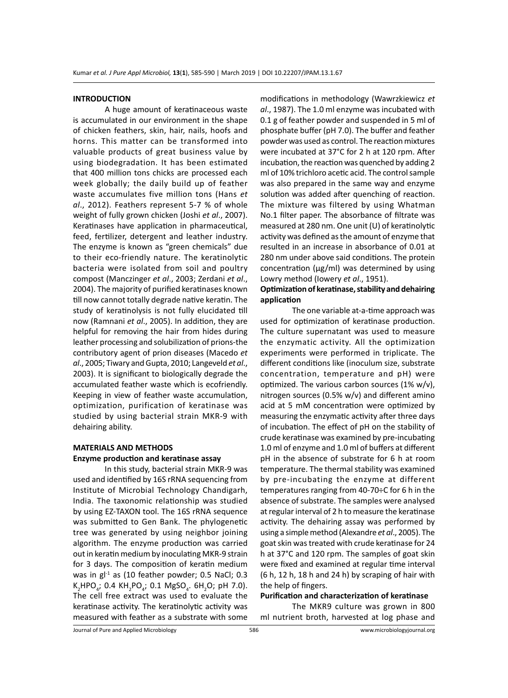#### **INTRODUCTION**

A huge amount of keratinaceous waste is accumulated in our environment in the shape of chicken feathers, skin, hair, nails, hoofs and horns. This matter can be transformed into valuable products of great business value by using biodegradation. It has been estimated that 400 million tons chicks are processed each week globally; the daily build up of feather waste accumulates five million tons (Hans *et al*., 2012). Feathers represent 5-7 % of whole weight of fully grown chicken (Joshi *et al*., 2007). Keratinases have application in pharmaceutical, feed, fertilizer, detergent and leather industry. The enzyme is known as "green chemicals" due to their eco-friendly nature. The keratinolytic bacteria were isolated from soil and poultry compost (Manczinger *et al*., 2003; Zerdani *et al*., 2004). The majority of purified keratinases known till now cannot totally degrade native keratin. The study of keratinolysis is not fully elucidated till now (Ramnani *et al*., 2005). In addition, they are helpful for removing the hair from hides during leather processing and solubilization of prions-the contributory agent of prion diseases (Macedo *et al*., 2005; Tiwary and Gupta, 2010; Langeveld *et al*., 2003). It is significant to biologically degrade the accumulated feather waste which is ecofriendly. Keeping in view of feather waste accumulation, optimization, purification of keratinase was studied by using bacterial strain MKR-9 with dehairing ability.

# **MATERIALS AND METHODS Enzyme production and keratinase assay**

In this study, bacterial strain MKR-9 was used and identified by 16S rRNA sequencing from Institute of Microbial Technology Chandigarh, India. The taxonomic relationship was studied by using EZ-TAXON tool. The 16S rRNA sequence was submitted to Gen Bank. The phylogenetic tree was generated by using neighbor joining algorithm. The enzyme production was carried out in keratin medium by inoculating MKR-9 strain for 3 days. The composition of keratin medium was in  $gl<sup>-1</sup>$  as (10 feather powder; 0.5 NaCl; 0.3  $K_2$ HPO<sub>4</sub>; 0.4 KH<sub>2</sub>PO<sub>4</sub>; 0.1 MgSO<sub>4</sub>. 6H<sub>2</sub>O; pH 7.0). The cell free extract was used to evaluate the keratinase activity. The keratinolytic activity was measured with feather as a substrate with some

modifications in methodology (Wawrzkiewicz *et al*., 1987). The 1.0 ml enzyme was incubated with 0.1 g of feather powder and suspended in 5 ml of phosphate buffer (pH 7.0). The buffer and feather powder was used as control. The reaction mixtures were incubated at 37°C for 2 h at 120 rpm. After incubation, the reaction was quenched by adding 2 ml of 10% trichloro acetic acid. The control sample was also prepared in the same way and enzyme solution was added after quenching of reaction. The mixture was filtered by using Whatman No.1 filter paper. The absorbance of filtrate was measured at 280 nm. One unit (U) of keratinolytic activity was defined as the amount of enzyme that resulted in an increase in absorbance of 0.01 at 280 nm under above said conditions. The protein concentration ( $\mu$ g/ml) was determined by using Lowry method (Iowery *et al*., 1951).

## **Optimization of keratinase, stability and dehairing application**

The one variable at-a-time approach was used for optimization of keratinase production. The culture supernatant was used to measure the enzymatic activity. All the optimization experiments were performed in triplicate. The different conditions like (inoculum size, substrate concentration, temperature and pH) were optimized. The various carbon sources (1% w/v), nitrogen sources (0.5% w/v) and different amino acid at 5 mM concentration were optimized by measuring the enzymatic activity after three days of incubation. The effect of pH on the stability of crude keratinase was examined by pre-incubating 1.0 ml of enzyme and 1.0 ml of buffers at different pH in the absence of substrate for 6 h at room temperature. The thermal stability was examined by pre-incubating the enzyme at different temperatures ranging from 40-70÷C for 6 h in the absence of substrate. The samples were analysed at regular interval of 2 h to measure the keratinase activity. The dehairing assay was performed by using a simple method (Alexandre *et al*., 2005). The goat skin was treated with crude keratinase for 24 h at 37°C and 120 rpm. The samples of goat skin were fixed and examined at regular time interval (6 h, 12 h, 18 h and 24 h) by scraping of hair with the help of fingers.

#### **Purification and characterization of keratinase**

The MKR9 culture was grown in 800 ml nutrient broth, harvested at log phase and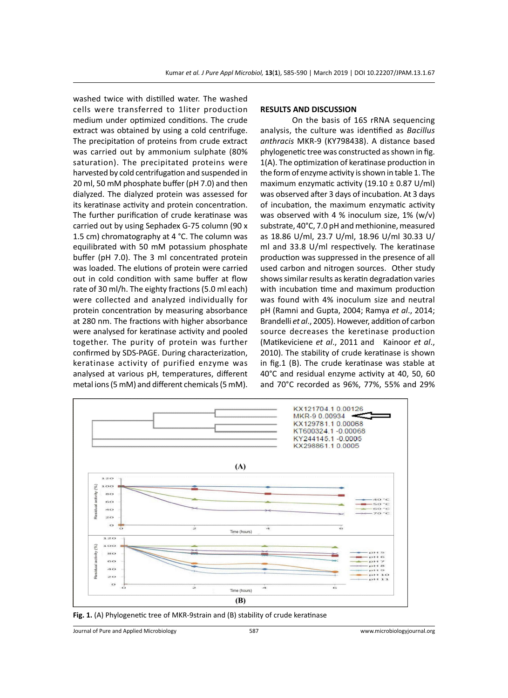washed twice with distilled water. The washed cells were transferred to 1liter production medium under optimized conditions. The crude extract was obtained by using a cold centrifuge. The precipitation of proteins from crude extract was carried out by ammonium sulphate (80% saturation). The precipitated proteins were harvested by cold centrifugation and suspended in 20 ml, 50 mM phosphate buffer (pH 7.0) and then dialyzed. The dialyzed protein was assessed for its keratinase activity and protein concentration. The further purification of crude keratinase was carried out by using Sephadex G-75 column (90 x 1.5 cm) chromatography at 4 °C. The column was equilibrated with 50 mM potassium phosphate buffer (pH 7.0). The 3 ml concentrated protein was loaded. The elutions of protein were carried out in cold condition with same buffer at flow rate of 30 ml/h. The eighty fractions (5.0 ml each) were collected and analyzed individually for protein concentration by measuring absorbance at 280 nm. The fractions with higher absorbance were analysed for keratinase activity and pooled together. The purity of protein was further confirmed by SDS-PAGE. During characterization, keratinase activity of purified enzyme was analysed at various pH, temperatures, different metal ions (5 mM) and different chemicals (5 mM).

#### **RESULTS AND DISCUSSION**

On the basis of 16S rRNA sequencing analysis, the culture was identified as *Bacillus anthracis* MKR-9 (KY798438). A distance based phylogenetic tree was constructed as shown in fig. 1(A). The optimization of keratinase production in the form of enzyme activity is shown in table 1. The maximum enzymatic activity (19.10  $\pm$  0.87 U/ml) was observed after 3 days of incubation. At 3 days of incubation, the maximum enzymatic activity was observed with 4 % inoculum size,  $1\%$  (w/v) substrate, 40°C, 7.0 pH and methionine, measured as 18.86 U/ml, 23.7 U/ml, 18.96 U/ml 30.33 U/ ml and 33.8 U/ml respectively. The keratinase production was suppressed in the presence of all used carbon and nitrogen sources. Other study shows similar results as keratin degradation varies with incubation time and maximum production was found with 4% inoculum size and neutral pH (Ramni and Gupta, 2004; Ramya *et al*., 2014; Brandelli *et al*., 2005). However, addition of carbon source decreases the keretinase production (Matikeviciene *et al*., 2011 and Kainoor *et al*., 2010). The stability of crude keratinase is shown in fig.1 (B). The crude keratinase was stable at 40°C and residual enzyme activity at 40, 50, 60 and 70°C recorded as 96%, 77%, 55% and 29%



**Fig. 1.** (A) Phylogenetic tree of MKR-9strain and (B) stability of crude keratinase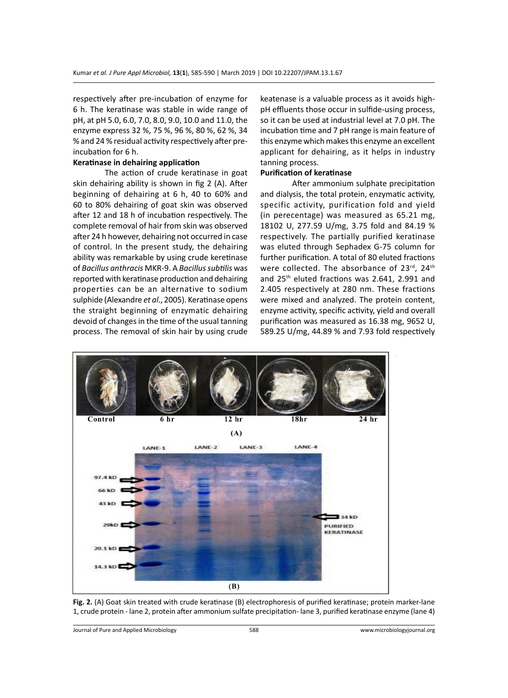respectively after pre-incubation of enzyme for 6 h. The keratinase was stable in wide range of pH, at pH 5.0, 6.0, 7.0, 8.0, 9.0, 10.0 and 11.0, the enzyme express 32 %, 75 %, 96 %, 80 %, 62 %, 34 % and 24 % residual activity respectively after preincubation for 6 h.

#### **Keratinase in dehairing application**

The action of crude keratinase in goat skin dehairing ability is shown in fig 2 (A). After beginning of dehairing at 6 h, 40 to 60% and 60 to 80% dehairing of goat skin was observed after 12 and 18 h of incubation respectively. The complete removal of hair from skin was observed after 24 h however, dehairing not occurred in case of control. In the present study, the dehairing ability was remarkable by using crude keretinase of *Bacillus anthracis* MKR-9. A *Bacillus subtilis* was reported with keratinase production and dehairing properties can be an alternative to sodium sulphide (Alexandre *et al*., 2005). Keratinase opens the straight beginning of enzymatic dehairing devoid of changes in the time of the usual tanning process. The removal of skin hair by using crude

keatenase is a valuable process as it avoids highpH effluents those occur in sulfide-using process, so it can be used at industrial level at 7.0 pH. The incubation time and 7 pH range is main feature of this enzyme which makes this enzyme an excellent applicant for dehairing, as it helps in industry tanning process.

### **Purification of keratinase**

After ammonium sulphate precipitation and dialysis, the total protein, enzymatic activity, specific activity, purification fold and yield (in perecentage) was measured as 65.21 mg, 18102 U, 277.59 U/mg, 3.75 fold and 84.19 % respectively. The partially purified keratinase was eluted through Sephadex G-75 column for further purification. A total of 80 eluted fractions were collected. The absorbance of 23rd, 24th and 25th eluted fractions was 2.641, 2.991 and 2.405 respectively at 280 nm. These fractions were mixed and analyzed. The protein content, enzyme activity, specific activity, yield and overall purification was measured as 16.38 mg, 9652 U, 589.25 U/mg, 44.89 % and 7.93 fold respectively



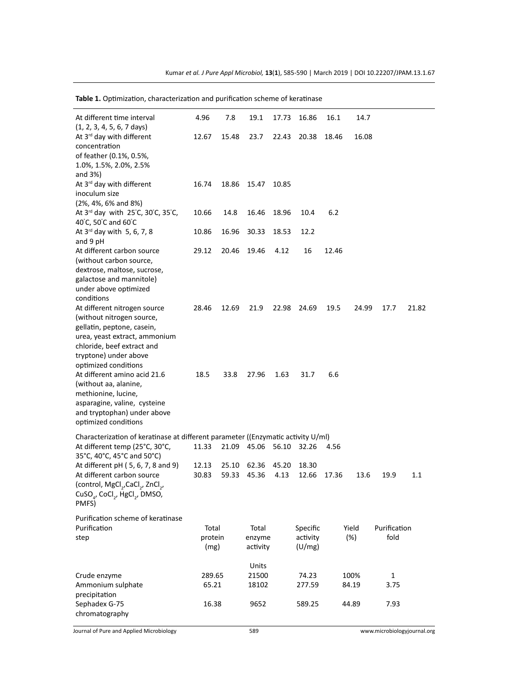**Table 1.** Optimization, characterization and purification scheme of keratinase

| At different time interval<br>$(1, 2, 3, 4, 5, 6, 7 \text{ days})$               | 4.96            | 7.8   | 19.1                        | 17.73 | 16.86                | 16.1          | 14.7  |                      |       |
|----------------------------------------------------------------------------------|-----------------|-------|-----------------------------|-------|----------------------|---------------|-------|----------------------|-------|
| At 3 <sup>rd</sup> day with different                                            | 12.67           | 15.48 | 23.7                        | 22.43 | 20.38                | 18.46         | 16.08 |                      |       |
| concentration<br>of feather (0.1%, 0.5%,                                         |                 |       |                             |       |                      |               |       |                      |       |
| 1.0%, 1.5%, 2.0%, 2.5%                                                           |                 |       |                             |       |                      |               |       |                      |       |
| and 3%)                                                                          |                 |       |                             |       |                      |               |       |                      |       |
| At 3rd day with different                                                        | 16.74           | 18.86 | 15.47                       | 10.85 |                      |               |       |                      |       |
| inoculum size<br>$(2\%, 4\%, 6\% \text{ and } 8\%)$                              |                 |       |                             |       |                      |               |       |                      |       |
| At 3rd day with 25°C, 30°C, 35°C,                                                | 10.66           | 14.8  | 16.46                       | 18.96 | 10.4                 | 6.2           |       |                      |       |
| 40°C, 50°C and 60°C                                                              |                 |       |                             |       |                      |               |       |                      |       |
| At $3^{rd}$ day with 5, 6, 7, 8                                                  | 10.86           | 16.96 | 30.33                       | 18.53 | 12.2                 |               |       |                      |       |
| and 9 pH<br>At different carbon source                                           | 29.12           | 20.46 | 19.46                       | 4.12  | 16                   | 12.46         |       |                      |       |
| (without carbon source,                                                          |                 |       |                             |       |                      |               |       |                      |       |
| dextrose, maltose, sucrose,                                                      |                 |       |                             |       |                      |               |       |                      |       |
| galactose and mannitole)                                                         |                 |       |                             |       |                      |               |       |                      |       |
| under above optimized<br>conditions                                              |                 |       |                             |       |                      |               |       |                      |       |
| At different nitrogen source                                                     | 28.46           | 12.69 | 21.9                        | 22.98 | 24.69                | 19.5          | 24.99 | 17.7                 | 21.82 |
| (without nitrogen source,                                                        |                 |       |                             |       |                      |               |       |                      |       |
| gellatin, peptone, casein,                                                       |                 |       |                             |       |                      |               |       |                      |       |
| urea, yeast extract, ammonium<br>chloride, beef extract and                      |                 |       |                             |       |                      |               |       |                      |       |
| tryptone) under above                                                            |                 |       |                             |       |                      |               |       |                      |       |
| optimized conditions                                                             |                 |       |                             |       |                      |               |       |                      |       |
| At different amino acid 21.6                                                     | 18.5            | 33.8  | 27.96                       | 1.63  | 31.7                 | 6.6           |       |                      |       |
| (without aa, alanine,                                                            |                 |       |                             |       |                      |               |       |                      |       |
| methionine, lucine,<br>asparagine, valine, cysteine                              |                 |       |                             |       |                      |               |       |                      |       |
| and tryptophan) under above                                                      |                 |       |                             |       |                      |               |       |                      |       |
| optimized conditions                                                             |                 |       |                             |       |                      |               |       |                      |       |
| Characterization of keratinase at different parameter ((Enzymatic activity U/ml) |                 |       |                             |       |                      |               |       |                      |       |
| At different temp (25°C, 30°C,                                                   | 11.33           | 21.09 | 45.06                       | 56.10 | 32.26                | 4.56          |       |                      |       |
| 35°C, 40°C, 45°C and 50°C)<br>At different pH (5, 6, 7, 8 and 9)                 | 12.13           | 25.10 | 62.36                       | 45.20 | 18.30                |               |       |                      |       |
| At different carbon source                                                       | 30.83           | 59.33 | 45.36                       | 4.13  | 12.66                | 17.36         | 13.6  | 19.9                 | 1.1   |
| (control, MgCl <sub>2</sub> , CaCl <sub>2</sub> , ZnCl <sub>2</sub> ,            |                 |       |                             |       |                      |               |       |                      |       |
| CuSO <sub>4</sub> , CoCl <sub>2</sub> , HgCl <sub>2</sub> , DMSO,                |                 |       |                             |       |                      |               |       |                      |       |
| PMFS)                                                                            |                 |       |                             |       |                      |               |       |                      |       |
| Purification scheme of keratinase                                                |                 |       |                             |       |                      |               |       |                      |       |
| Purification<br>step                                                             | Total           |       | Total<br>enzyme<br>activity |       | Specific<br>activity | Yield<br>(%)  |       | Purification<br>fold |       |
| protein<br>(mg)                                                                  |                 |       |                             |       | (U/mg)               |               |       |                      |       |
|                                                                                  |                 |       |                             |       |                      |               |       |                      |       |
|                                                                                  |                 |       | Units                       |       |                      |               |       |                      |       |
| Crude enzyme<br>Ammonium sulphate                                                | 289.65<br>65.21 |       | 21500<br>18102              |       | 74.23<br>277.59      | 100%<br>84.19 |       | 1<br>3.75            |       |
| precipitation                                                                    |                 |       |                             |       |                      |               |       |                      |       |
| Sephadex G-75                                                                    | 16.38           |       | 9652                        |       | 589.25               |               | 44.89 | 7.93                 |       |
| chromatography                                                                   |                 |       |                             |       |                      |               |       |                      |       |

Journal of Pure and Applied Microbiology 589 www.microbiologyjournal.org